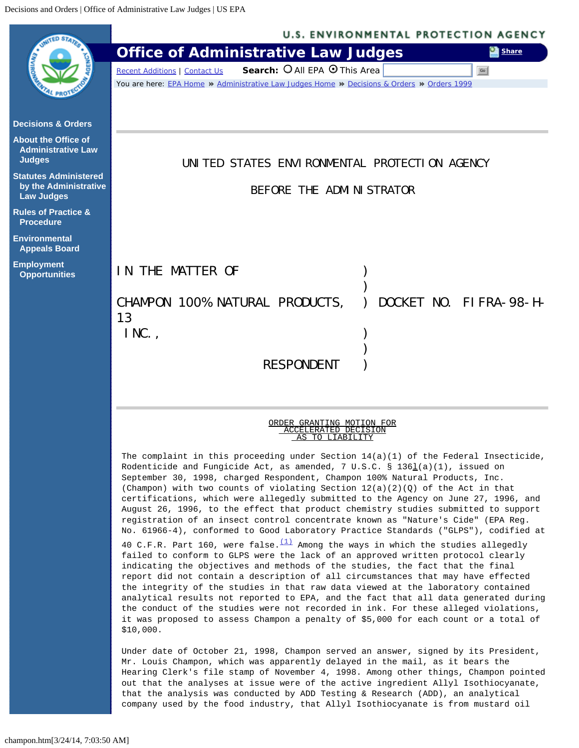<span id="page-0-0"></span>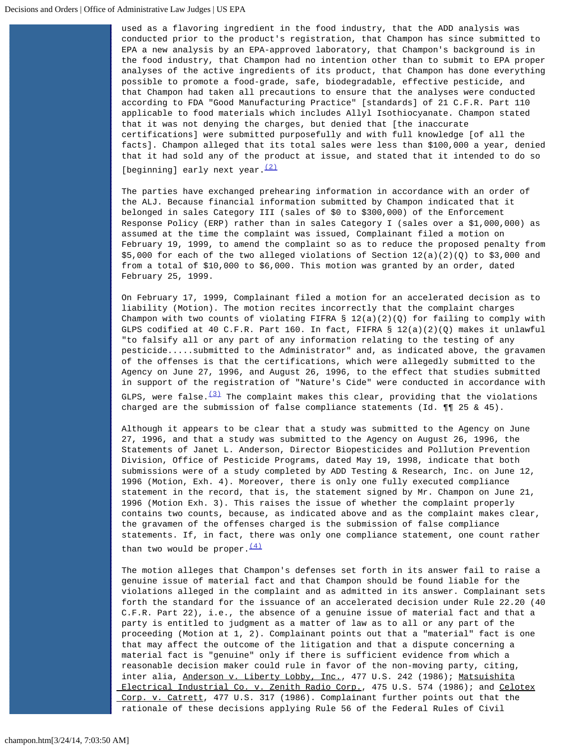used as a flavoring ingredient in the food industry, that the ADD analysis was conducted prior to the product's registration, that Champon has since submitted to EPA a new analysis by an EPA-approved laboratory, that Champon's background is in the food industry, that Champon had no intention other than to submit to EPA proper analyses of the active ingredients of its product, that Champon has done everything possible to promote a food-grade, safe, biodegradable, effective pesticide, and that Champon had taken all precautions to ensure that the analyses were conducted according to FDA "Good Manufacturing Practice" [standards] of 21 C.F.R. Part 110 applicable to food materials which includes Allyl Isothiocyanate. Champon stated that it was not denying the charges, but denied that [the inaccurate certifications] were submitted purposefully and with full knowledge [of all the facts]. Champon alleged that its total sales were less than \$100,000 a year, denied that it had sold any of the product at issue, and stated that it intended to do so [beginning] early next year. $(2)$ 

The parties have exchanged prehearing information in accordance with an order of the ALJ. Because financial information submitted by Champon indicated that it belonged in sales Category III (sales of \$0 to \$300,000) of the Enforcement Response Policy (ERP) rather than in sales Category I (sales over a \$1,000,000) as assumed at the time the complaint was issued, Complainant filed a motion on February 19, 1999, to amend the complaint so as to reduce the proposed penalty from  $$5,000$  for each of the two alleged violations of Section  $12(a)(2)(Q)$  to  $$3,000$  and from a total of \$10,000 to \$6,000. This motion was granted by an order, dated February 25, 1999.

On February 17, 1999, Complainant filed a motion for an accelerated decision as to liability (Motion). The motion recites incorrectly that the complaint charges Champon with two counts of violating FIFRA  $\S 12(a)(2)(Q)$  for failing to comply with GLPS codified at 40 C.F.R. Part 160. In fact, FIFRA  $\S$  12(a)(2)(Q) makes it unlawful "to falsify all or any part of any information relating to the testing of any pesticide.....submitted to the Administrator" and, as indicated above, the gravamen of the offenses is that the certifications, which were allegedly submitted to the Agency on June 27, 1996, and August 26, 1996, to the effect that studies submitted in support of the registration of "Nature's Cide" were conducted in accordance with GLPS, were false. $(3)$  The complaint makes this clear, providing that the violations charged are the submission of false compliance statements (Id.  $\P$  15 & 45).

Although it appears to be clear that a study was submitted to the Agency on June 27, 1996, and that a study was submitted to the Agency on August 26, 1996, the Statements of Janet L. Anderson, Director Biopesticides and Pollution Prevention Division, Office of Pesticide Programs, dated May 19, 1998, indicate that both submissions were of a study completed by ADD Testing & Research, Inc. on June 12, 1996 (Motion, Exh. 4). Moreover, there is only one fully executed compliance statement in the record, that is, the statement signed by Mr. Champon on June 21, 1996 (Motion Exh. 3). This raises the issue of whether the complaint properly contains two counts, because, as indicated above and as the complaint makes clear, the gravamen of the offenses charged is the submission of false compliance statements. If, in fact, there was only one compliance statement, one count rather than two would be proper.  $(4)$ 

The motion alleges that Champon's defenses set forth in its answer fail to raise a genuine issue of material fact and that Champon should be found liable for the violations alleged in the complaint and as admitted in its answer. Complainant sets forth the standard for the issuance of an accelerated decision under Rule 22.20 (40 C.F.R. Part 22), i.e., the absence of a genuine issue of material fact and that a party is entitled to judgment as a matter of law as to all or any part of the proceeding (Motion at 1, 2). Complainant points out that a "material" fact is one that may affect the outcome of the litigation and that a dispute concerning a material fact is "genuine" only if there is sufficient evidence from which a reasonable decision maker could rule in favor of the non-moving party, citing, inter alia, Anderson v. Liberty Lobby, Inc., 477 U.S. 242 (1986); Matsuishita Electrical Industrial Co. v. Zenith Radio Corp., 475 U.S. 574 (1986); and Celotex Corp. v. Catrett, 477 U.S. 317 (1986). Complainant further points out that the rationale of these decisions applying Rule 56 of the Federal Rules of Civil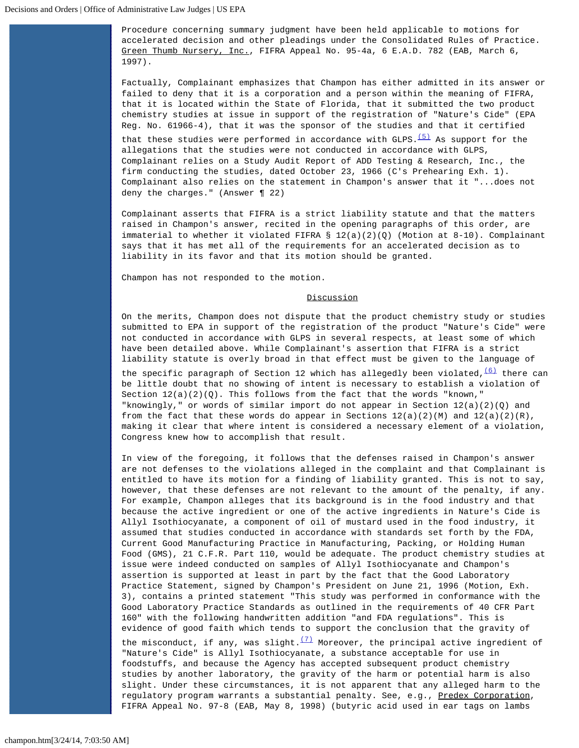Procedure concerning summary judgment have been held applicable to motions for accelerated decision and other pleadings under the Consolidated Rules of Practice. Green Thumb Nursery, Inc., FIFRA Appeal No. 95-4a, 6 E.A.D. 782 (EAB, March 6, 1997).

Factually, Complainant emphasizes that Champon has either admitted in its answer or failed to deny that it is a corporation and a person within the meaning of FIFRA, that it is located within the State of Florida, that it submitted the two product chemistry studies at issue in support of the registration of "Nature's Cide" (EPA Reg. No. 61966-4), that it was the sponsor of the studies and that it certified that these studies were performed in accordance with  $GLPS$ .<sup>[\(5\)](#page-3-4)</sup> As support for the allegations that the studies were not conducted in accordance with GLPS, Complainant relies on a Study Audit Report of ADD Testing & Research, Inc., the firm conducting the studies, dated October 23, 1966 (C's Prehearing Exh. 1). Complainant also relies on the statement in Champon's answer that it "...does not deny the charges." (Answer 122)

Complainant asserts that FIFRA is a strict liability statute and that the matters raised in Champon's answer, recited in the opening paragraphs of this order, are immaterial to whether it violated FIFRA  $\S 12(a)(2)(Q)$  (Motion at 8-10). Complainant says that it has met all of the requirements for an accelerated decision as to liability in its favor and that its motion should be granted.

Champon has not responded to the motion.

## **Discussion**

On the merits, Champon does not dispute that the product chemistry study or studies submitted to EPA in support of the registration of the product "Nature's Cide" were not conducted in accordance with GLPS in several respects, at least some of which have been detailed above. While Complainant's assertion that FIFRA is a strict liability statute is overly broad in that effect must be given to the language of the specific paragraph of Section 12 which has allegedly been violated,  $\frac{(6)}{10}$  $\frac{(6)}{10}$  $\frac{(6)}{10}$  there can be little doubt that no showing of intent is necessary to establish a violation of Section  $12(a)(2)(Q)$ . This follows from the fact that the words "known," "knowingly," or words of similar import do not appear in Section  $12(a)(2)(Q)$  and from the fact that these words do appear in Sections  $12(a)(2)(M)$  and  $12(a)(2)(R)$ , making it clear that where intent is considered a necessary element of a violation, Congress knew how to accomplish that result.

In view of the foregoing, it follows that the defenses raised in Champon's answer are not defenses to the violations alleged in the complaint and that Complainant is entitled to have its motion for a finding of liability granted. This is not to say, however, that these defenses are not relevant to the amount of the penalty, if any. For example, Champon alleges that its background is in the food industry and that because the active ingredient or one of the active ingredients in Nature's Cide is Allyl Isothiocyanate, a component of oil of mustard used in the food industry, it assumed that studies conducted in accordance with standards set forth by the FDA, Current Good Manufacturing Practice in Manufacturing, Packing, or Holding Human Food (GMS), 21 C.F.R. Part 110, would be adequate. The product chemistry studies at issue were indeed conducted on samples of Allyl Isothiocyanate and Champon's assertion is supported at least in part by the fact that the Good Laboratory Practice Statement, signed by Champon's President on June 21, 1996 (Motion, Exh. 3), contains a printed statement "This study was performed in conformance with the Good Laboratory Practice Standards as outlined in the requirements of 40 CFR Part 160" with the following handwritten addition "and FDA regulations". This is evidence of good faith which tends to support the conclusion that the gravity of

the misconduct, if any, was slight. $(7)$  Moreover, the principal active ingredient of "Nature's Cide" is Allyl Isothiocyanate, a substance acceptable for use in foodstuffs, and because the Agency has accepted subsequent product chemistry studies by another laboratory, the gravity of the harm or potential harm is also slight. Under these circumstances, it is not apparent that any alleged harm to the regulatory program warrants a substantial penalty. See, e.g., Predex Corporation, FIFRA Appeal No. 97-8 (EAB, May 8, 1998) (butyric acid used in ear tags on lambs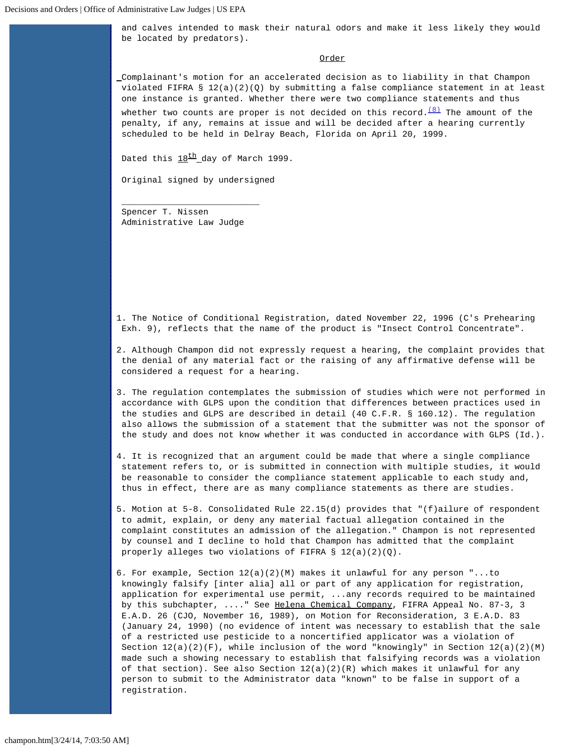and calves intended to mask their natural odors and make it less likely they would be located by predators).

## Order

Complainant's motion for an accelerated decision as to liability in that Champon violated FIFRA §  $12(a)(2)(Q)$  by submitting a false compliance statement in at least one instance is granted. Whether there were two compliance statements and thus

whether two counts are proper is not decided on this record.  $(8)$  The amount of the penalty, if any, remains at issue and will be decided after a hearing currently scheduled to be held in Delray Beach, Florida on April 20, 1999.

Dated this  $18<sup>th</sup>$  day of March 1999.

Original signed by undersigned

Spencer T. Nissen Administrative Law Judge

 $\overline{\phantom{a}}$  , and the contract of the contract of the contract of  $\overline{\phantom{a}}$ 

<span id="page-3-0"></span>1. The Notice of Conditional Registration, dated November 22, 1996 (C's Prehearing Exh. 9), reflects that the name of the product is "Insect Control Concentrate".

<span id="page-3-1"></span>2. Although Champon did not expressly request a hearing, the complaint provides that the denial of any material fact or the raising of any affirmative defense will be considered a request for a hearing.

<span id="page-3-2"></span>3. The regulation contemplates the submission of studies which were not performed in accordance with GLPS upon the condition that differences between practices used in the studies and GLPS are described in detail (40 C.F.R. § 160.12). The regulation also allows the submission of a statement that the submitter was not the sponsor of the study and does not know whether it was conducted in accordance with GLPS (Id.).

<span id="page-3-3"></span>4. It is recognized that an argument could be made that where a single compliance statement refers to, or is submitted in connection with multiple studies, it would be reasonable to consider the compliance statement applicable to each study and, thus in effect, there are as many compliance statements as there are studies.

<span id="page-3-4"></span>5. Motion at 5-8. Consolidated Rule 22.15(d) provides that "(f)ailure of respondent to admit, explain, or deny any material factual allegation contained in the complaint constitutes an admission of the allegation." Champon is not represented by counsel and I decline to hold that Champon has admitted that the complaint properly alleges two violations of FIFRA § 12(a)(2)(Q).

<span id="page-3-5"></span>6. For example, Section  $12(a)(2)(M)$  makes it unlawful for any person "...to knowingly falsify [inter alia] all or part of any application for registration, application for experimental use permit, ...any records required to be maintained by this subchapter, ...." See Helena Chemical Company, FIFRA Appeal No. 87-3, 3 E.A.D. 26 (CJO, November 16, 1989), on Motion for Reconsideration, 3 E.A.D. 83 (January 24, 1990) (no evidence of intent was necessary to establish that the sale of a restricted use pesticide to a noncertified applicator was a violation of Section  $12(a)(2)(F)$ , while inclusion of the word "knowingly" in Section  $12(a)(2)(M)$  made such a showing necessary to establish that falsifying records was a violation of that section). See also Section  $12(a)(2)(R)$  which makes it unlawful for any person to submit to the Administrator data "known" to be false in support of a registration.